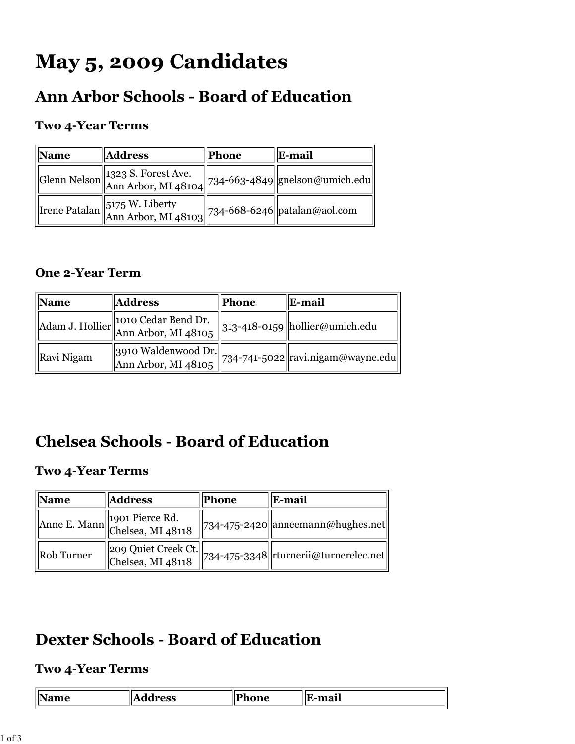# **May 5, 2009 Candidates**

# **Ann Arbor Schools - Board of Education**

### **Two 4-Year Terms**

| Name | <b>Address</b>                                                                                                                          | Phone | E-mail |
|------|-----------------------------------------------------------------------------------------------------------------------------------------|-------|--------|
|      | $\left\  {\rm Glenn\;Nelson}\middle\  1323 \ {\rm S. \: Forest \: Ave.} \right\  734-663-4849 \left\  {\rm geneIson@umich.edu}\right\ $ |       |        |
|      | Trene Patalan $\begin{bmatrix} 5175 \text{ W. Liberty} \\ \text{Ann Arbor, MI } 48103 \end{bmatrix}$ 734-668-6246 patalan@aol.com       |       |        |

### **One 2-Year Term**

| $\mathbf{\ Name}$ | <b>Address</b>                                                                             | Phone | <b>E-mail</b>                                                            |
|-------------------|--------------------------------------------------------------------------------------------|-------|--------------------------------------------------------------------------|
|                   | Adam J. Hollier 1010 Cedar Bend Dr.<br>Ann Arbor, MI 48105                                 |       | $\left \left 313\text{-}418\text{-}0159\right \right $ hollier@umich.edu |
| Ravi Nigam        | $\begin{bmatrix} 3910 \text{ Waldenwood Dr.} \\ \text{Ann Arbor, MI } 48105 \end{bmatrix}$ |       | $\left  \frac{1}{234} - \frac{1}{15022} \right $ ravi.nigam@wayne.edu    |

# **Chelsea Schools - Board of Education**

#### **Two 4-Year Terms**

| Name              | <b>Address</b>                                    | Phone | E-mail                                      |
|-------------------|---------------------------------------------------|-------|---------------------------------------------|
|                   | Anne E. Mann 1901 Pierce Rd.<br>Chelsea, MI 48118 |       | $\vert$ 734-475-2420   anneemann@hughes.net |
| <b>Rob</b> Turner | 209 Quiet Creek Ct.<br>Chelsea, MI 48118          |       | 734-475-3348  rturnerii@turnerelec.net      |

# **Dexter Schools - Board of Education**

### **Two 4-Year Terms**

| <b>000</b><br>- 79<br>555<br>ш. | n<br>------- | $\bullet$<br>--- - -<br><b>AAAWAA</b> |
|---------------------------------|--------------|---------------------------------------|
|                                 |              |                                       |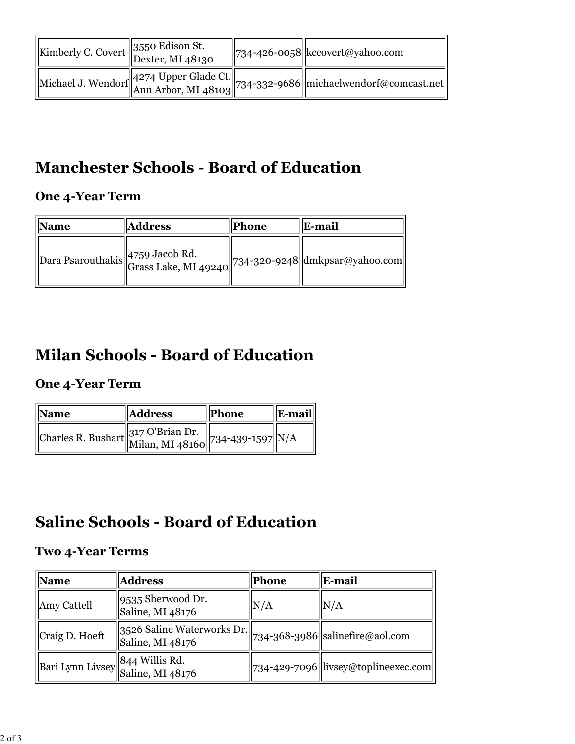| $\kappa$ Kimberly C. Covert $\begin{bmatrix} 3550 \text{ Edison St.} \\ \text{Dexter, MI }_48130 \end{bmatrix}$ |  | $\left\  734 - 426 - 0058 \right\ $ kccovert@yahoo.com                          |
|-----------------------------------------------------------------------------------------------------------------|--|---------------------------------------------------------------------------------|
|                                                                                                                 |  | Michael J. Wendorf 4274 Upper Glade Ct. 734-332-9686 michaelwendorf@comcast.net |

# **Manchester Schools - Board of Education**

### **One 4-Year Term**

| Name | <b>Address</b>                                                  | <b>Phone</b> | E-mail |
|------|-----------------------------------------------------------------|--------------|--------|
|      | Dara Psarouthakis 4759 Jacob Rd. 234-320-9248 dmkpsar@yahoo.com |              |        |

# **Milan Schools - Board of Education**

### **One 4-Year Term**

| <b>Name</b>                                           | <b>Address</b> | Phone | E-mail |
|-------------------------------------------------------|----------------|-------|--------|
| Charles R. Bushart 317 O'Brian Dr. 734-439-1597 $N/A$ |                |       |        |

# **Saline Schools - Board of Education**

### **Two 4-Year Terms**

| <b>Name</b>                                         | <b>Address</b>                                 | Phone | <b>E-mail</b>                                              |
|-----------------------------------------------------|------------------------------------------------|-------|------------------------------------------------------------|
| Amy Cattell                                         | 9535 Sherwood Dr.<br>Saline, MI 48176          | N/A   | N/A                                                        |
| Craig D. Hoeft                                      | 3526 Saline Waterworks Dr.<br>Saline, MI 48176 |       | $734-368-3986$ salinefire@aol.com                          |
| Bari Lynn Livsey 844 Willis Rd.<br>Saline, MI 48176 |                                                |       | $\left\  734 - 429 - 7096 \right\ $ livsey@toplineexec.com |